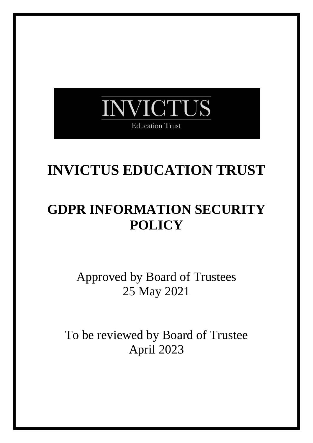

# **INVICTUS EDUCATION TRUST**

# **GDPR INFORMATION SECURITY POLICY**

Approved by Board of Trustees 25 May 2021

To be reviewed by Board of Trustee April 2023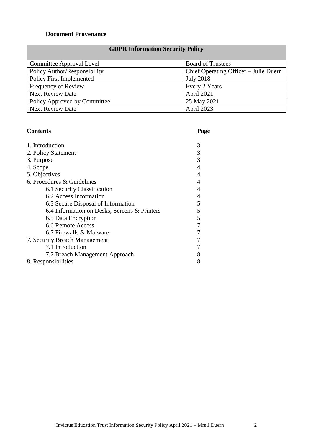### **Document Provenance**

## **GDPR Information Security Policy**

| Committee Approval Level        | <b>Board of Trustees</b>              |
|---------------------------------|---------------------------------------|
| Policy Author/Responsibility    | Chief Operating Officer – Julie Duern |
| <b>Policy First Implemented</b> | July 2018                             |
| Frequency of Review             | Every 2 Years                         |
| <b>Next Review Date</b>         | April 2021                            |
| Policy Approved by Committee    | 25 May 2021                           |
| <b>Next Review Date</b>         | April 2023                            |

### **Contents Page**

| 1. Introduction                              | 3 |
|----------------------------------------------|---|
| 2. Policy Statement                          | 3 |
| 3. Purpose                                   | 3 |
| 4. Scope                                     |   |
| 5. Objectives                                |   |
| 6. Procedures & Guidelines                   |   |
| 6.1 Security Classification                  |   |
| 6.2 Access Information                       | 4 |
| 6.3 Secure Disposal of Information           | 5 |
| 6.4 Information on Desks, Screens & Printers | 5 |
| 6.5 Data Encryption                          | 5 |
| 6.6 Remote Access                            |   |
| 6.7 Firewalls & Malware                      |   |
| 7. Security Breach Management                |   |
| 7.1 Introduction                             |   |
| 7.2 Breach Management Approach               |   |
| 8. Responsibilities                          |   |

Invictus Education Trust Information Security Policy April 2021 – Mrs J Duern 2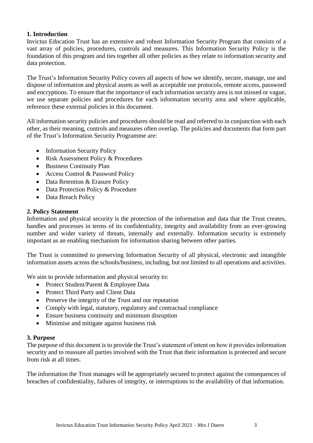#### **1. Introduction**

Invictus Education Trust has an extensive and robust Information Security Program that consists of a vast array of policies, procedures, controls and measures. This Information Security Policy is the foundation of this program and ties together all other policies as they relate to information security and data protection.

The Trust's Information Security Policy covers all aspects of how we identify, secure, manage, use and dispose of information and physical assets as well as acceptable use protocols, remote access, password and encryptions. To ensure that the importance of each information security area is not missed or vague, we use separate policies and procedures for each information security area and where applicable, reference these external policies in this document.

All information security policies and procedures should be read and referred to in conjunction with each other, as their meaning, controls and measures often overlap. The policies and documents that form part of the Trust's Information Security Programme are:

- Information Security Policy
- Risk Assessment Policy & Procedures
- Business Continuity Plan
- Access Control & Password Policy
- Data Retention & Erasure Policy
- Data Protection Policy & Procedure
- Data Breach Policy

#### **2. Policy Statement**

Information and physical security is the protection of the information and data that the Trust creates, handles and processes in terms of its confidentiality, integrity and availability from an ever-growing number and wider variety of threats, internally and externally. Information security is extremely important as an enabling mechanism for information sharing between other parties.

The Trust is committed to preserving Information Security of all physical, electronic and intangible information assets across the schools/business, including, but not limited to all operations and activities.

We aim to provide information and physical security to:

- Protect Student/Parent & Employee Data
- Protect Third Party and Client Data
- Preserve the integrity of the Trust and our reputation
- Comply with legal, statutory, regulatory and contractual compliance
- Ensure business continuity and minimum disruption
- Minimise and mitigate against business risk

#### **3. Purpose**

The purpose of this document is to provide the Trust's statement of intent on how it provides information security and to reassure all parties involved with the Trust that their information is protected and secure from risk at all times.

The information the Trust manages will be appropriately secured to protect against the consequences of breaches of confidentiality, failures of integrity, or interruptions to the availability of that information.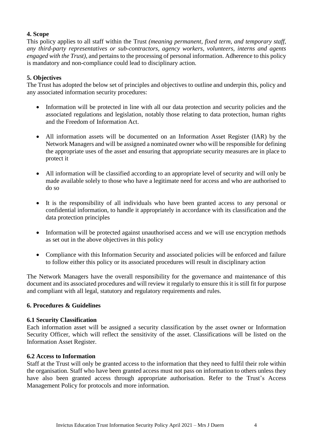#### **4. Scope**

This policy applies to all staff within the Trust *(meaning permanent, fixed term, and temporary staff, any third-party representatives or sub-contractors, agency workers, volunteers, interns and agents engaged with the Trust),* and pertains to the processing of personal information. Adherence to this policy is mandatory and non-compliance could lead to disciplinary action.

#### **5. Objectives**

The Trust has adopted the below set of principles and objectives to outline and underpin this, policy and any associated information security procedures:

- Information will be protected in line with all our data protection and security policies and the associated regulations and legislation, notably those relating to data protection, human rights and the Freedom of Information Act.
- All information assets will be documented on an Information Asset Register (IAR) by the Network Managers and will be assigned a nominated owner who will be responsible for defining the appropriate uses of the asset and ensuring that appropriate security measures are in place to protect it
- All information will be classified according to an appropriate level of security and will only be made available solely to those who have a legitimate need for access and who are authorised to do so
- It is the responsibility of all individuals who have been granted access to any personal or confidential information, to handle it appropriately in accordance with its classification and the data protection principles
- Information will be protected against unauthorised access and we will use encryption methods as set out in the above objectives in this policy
- Compliance with this Information Security and associated policies will be enforced and failure to follow either this policy or its associated procedures will result in disciplinary action

The Network Managers have the overall responsibility for the governance and maintenance of this document and its associated procedures and will review it regularly to ensure this it is still fit for purpose and compliant with all legal, statutory and regulatory requirements and rules.

#### **6. Procedures & Guidelines**

#### **6.1 Security Classification**

Each information asset will be assigned a security classification by the asset owner or Information Security Officer, which will reflect the sensitivity of the asset. Classifications will be listed on the Information Asset Register.

#### **6.2 Access to Information**

Staff at the Trust will only be granted access to the information that they need to fulfil their role within the organisation. Staff who have been granted access must not pass on information to others unless they have also been granted access through appropriate authorisation. Refer to the Trust's Access Management Policy for protocols and more information.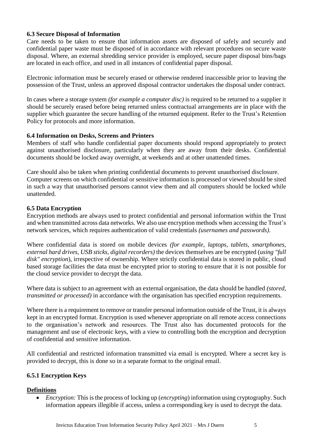#### **6.3 Secure Disposal of Information**

Care needs to be taken to ensure that information assets are disposed of safely and securely and confidential paper waste must be disposed of in accordance with relevant procedures on secure waste disposal. Where, an external shredding service provider is employed, secure paper disposal bins/bags are located in each office, and used in all instances of confidential paper disposal.

Electronic information must be securely erased or otherwise rendered inaccessible prior to leaving the possession of the Trust, unless an approved disposal contractor undertakes the disposal under contract.

In cases where a storage system *(for example a computer disc)* is required to be returned to a supplier it should be securely erased before being returned unless contractual arrangements are in place with the supplier which guarantee the secure handling of the returned equipment. Refer to the Trust's Retention Policy for protocols and more information.

#### **6.4 Information on Desks, Screens and Printers**

Members of staff who handle confidential paper documents should respond appropriately to protect against unauthorised disclosure, particularly when they are away from their desks. Confidential documents should be locked away overnight, at weekends and at other unattended times.

Care should also be taken when printing confidential documents to prevent unauthorised disclosure. Computer screens on which confidential or sensitive information is processed or viewed should be sited in such a way that unauthorised persons cannot view them and all computers should be locked while unattended.

#### **6.5 Data Encryption**

Encryption methods are always used to protect confidential and personal information within the Trust and when transmitted across data networks. We also use encryption methods when accessing the Trust's network services, which requires authentication of valid credentials *(usernames and passwords)*.

Where confidential data is stored on mobile devices *(for example, laptops, tablets, smartphones, external hard drives, USB sticks, digital recorders)* the devices themselves are be encrypted (*using "full disk" encryption*), irrespective of ownership. Where strictly confidential data is stored in public, cloud based storage facilities the data must be encrypted prior to storing to ensure that it is not possible for the cloud service provider to decrypt the data.

Where data is subject to an agreement with an external organisation, the data should be handled *(stored, transmitted or processed)* in accordance with the organisation has specified encryption requirements.

Where there is a requirement to remove or transfer personal information outside of the Trust, it is always kept in an encrypted format. Encryption is used whenever appropriate on all remote access connections to the organisation's network and resources. The Trust also has documented protocols for the management and use of electronic keys, with a view to controlling both the encryption and decryption of confidential and sensitive information.

All confidential and restricted information transmitted via email is encrypted. Where a secret key is provided to decrypt, this is done so in a separate format to the original email.

#### **6.5.1 Encryption Keys**

#### **Definitions**

• *Encryption:* This is the process of locking up (*encrypting*) information using cryptography. Such information appears illegible if access, unless a corresponding key is used to decrypt the data.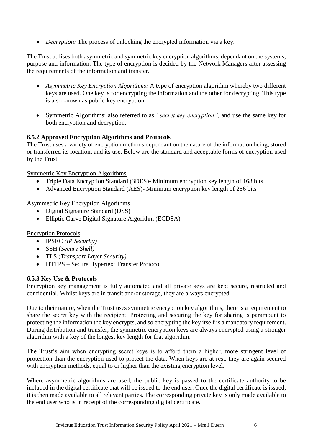• *Decryption:* The process of unlocking the encrypted information via a key.

The Trust utilises both asymmetric and symmetric key encryption algorithms, dependant on the systems, purpose and information. The type of encryption is decided by the Network Managers after assessing the requirements of the information and transfer.

- *Asymmetric Key Encryption Algorithms:* A type of encryption algorithm whereby two different keys are used. One key is for encrypting the information and the other for decrypting. This type is also known as public-key encryption.
- Symmetric Algorithms: also referred to as *"secret key encryption",* and use the same key for both encryption and decryption.

#### **6.5.2 Approved Encryption Algorithms and Protocols**

The Trust uses a variety of encryption methods dependant on the nature of the information being, stored or transferred its location, and its use. Below are the standard and acceptable forms of encryption used by the Trust.

Symmetric Key Encryption Algorithms

- Triple Data Encryption Standard (3DES)- Minimum encryption key length of 168 bits
- Advanced Encryption Standard (AES)- Minimum encryption key length of 256 bits

Asymmetric Key Encryption Algorithms

- Digital Signature Standard (DSS)
- Elliptic Curve Digital Signature Algorithm (ECDSA)

#### Encryption Protocols

- IPSEC *(IP Security)*
- SSH (*Secure Shell)*
- TLS (*Transport Layer Security)*
- HTTPS Secure Hypertext Transfer Protocol

#### **6.5.3 Key Use & Protocols**

Encryption key management is fully automated and all private keys are kept secure, restricted and confidential. Whilst keys are in transit and/or storage, they are always encrypted.

Due to their nature, when the Trust uses symmetric encryption key algorithms, there is a requirement to share the secret key with the recipient. Protecting and securing the key for sharing is paramount to protecting the information the key encrypts, and so encrypting the key itself is a mandatory requirement. During distribution and transfer, the symmetric encryption keys are always encrypted using a stronger algorithm with a key of the longest key length for that algorithm.

The Trust's aim when encrypting secret keys is to afford them a higher, more stringent level of protection than the encryption used to protect the data. When keys are at rest, they are again secured with encryption methods, equal to or higher than the existing encryption level.

Where asymmetric algorithms are used, the public key is passed to the certificate authority to be included in the digital certificate that will be issued to the end user. Once the digital certificate is issued, it is then made available to all relevant parties. The corresponding private key is only made available to the end user who is in receipt of the corresponding digital certificate.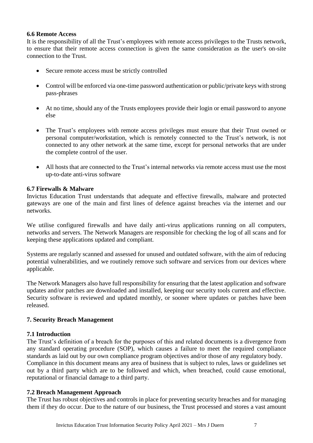#### **6.6 Remote Access**

It is the responsibility of all the Trust's employees with remote access privileges to the Trusts network, to ensure that their remote access connection is given the same consideration as the user's on-site connection to the Trust.

- Secure remote access must be strictly controlled
- Control will be enforced via one-time password authentication or public/private keys with strong pass-phrases
- At no time, should any of the Trusts employees provide their login or email password to anyone else
- The Trust's employees with remote access privileges must ensure that their Trust owned or personal computer/workstation, which is remotely connected to the Trust's network, is not connected to any other network at the same time, except for personal networks that are under the complete control of the user.
- All hosts that are connected to the Trust's internal networks via remote access must use the most up-to-date anti-virus software

#### **6.7 Firewalls & Malware**

Invictus Education Trust understands that adequate and effective firewalls, malware and protected gateways are one of the main and first lines of defence against breaches via the internet and our networks.

We utilise configured firewalls and have daily anti-virus applications running on all computers, networks and servers. The Network Managers are responsible for checking the log of all scans and for keeping these applications updated and compliant.

Systems are regularly scanned and assessed for unused and outdated software, with the aim of reducing potential vulnerabilities, and we routinely remove such software and services from our devices where applicable.

The Network Managers also have full responsibility for ensuring that the latest application and software updates and/or patches are downloaded and installed, keeping our security tools current and effective. Security software is reviewed and updated monthly, or sooner where updates or patches have been released.

#### **7. Security Breach Management**

#### **7.1 Introduction**

The Trust's definition of a breach for the purposes of this and related documents is a divergence from any standard operating procedure (SOP), which causes a failure to meet the required compliance standards as laid out by our own compliance program objectives and/or those of any regulatory body. Compliance in this document means any area of business that is subject to rules, laws or guidelines set out by a third party which are to be followed and which, when breached, could cause emotional, reputational or financial damage to a third party.

#### **7.2 Breach Management Approach**

The Trust has robust objectives and controls in place for preventing security breaches and for managing them if they do occur. Due to the nature of our business, the Trust processed and stores a vast amount